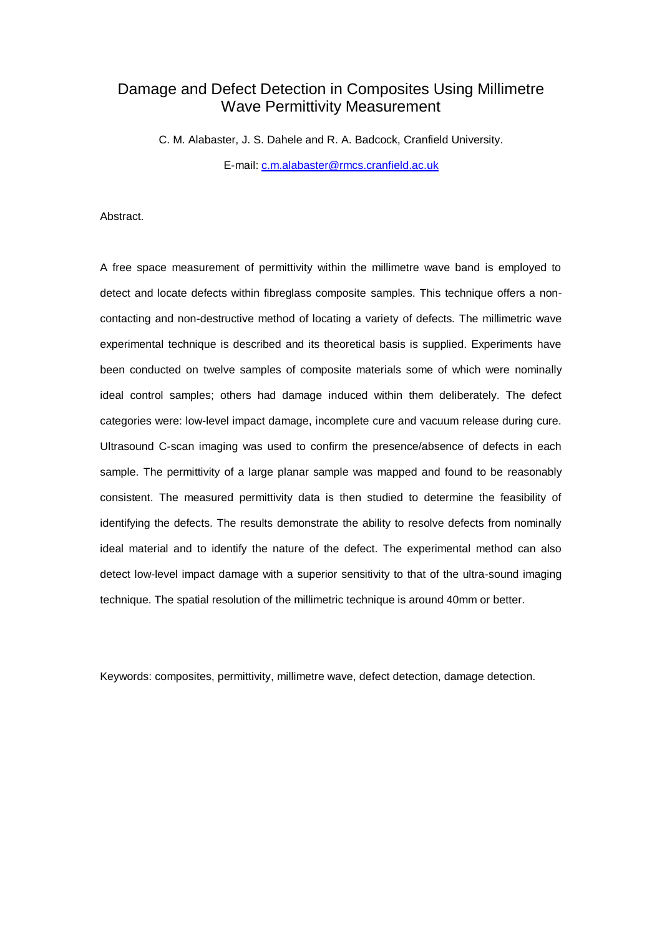# Damage and Defect Detection in Composites Using Millimetre Wave Permittivity Measurement

C. M. Alabaster, J. S. Dahele and R. A. Badcock, Cranfield University. E-mail: [c.m.alabaster@rmcs.cranfield.ac.uk](mailto:c.m.alabaster@rmcs.cranfield.ac.uk)

Abstract.

A free space measurement of permittivity within the millimetre wave band is employed to detect and locate defects within fibreglass composite samples. This technique offers a noncontacting and non-destructive method of locating a variety of defects. The millimetric wave experimental technique is described and its theoretical basis is supplied. Experiments have been conducted on twelve samples of composite materials some of which were nominally ideal control samples; others had damage induced within them deliberately. The defect categories were: low-level impact damage, incomplete cure and vacuum release during cure. Ultrasound C-scan imaging was used to confirm the presence/absence of defects in each sample. The permittivity of a large planar sample was mapped and found to be reasonably consistent. The measured permittivity data is then studied to determine the feasibility of identifying the defects. The results demonstrate the ability to resolve defects from nominally ideal material and to identify the nature of the defect. The experimental method can also detect low-level impact damage with a superior sensitivity to that of the ultra-sound imaging technique. The spatial resolution of the millimetric technique is around 40mm or better.

Keywords: composites, permittivity, millimetre wave, defect detection, damage detection.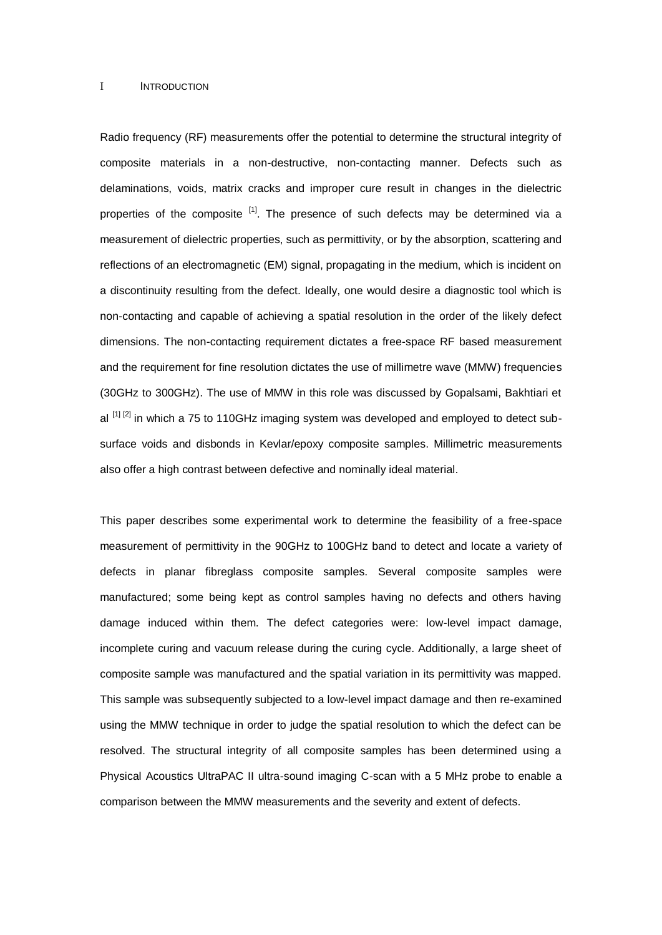#### I **INTRODUCTION**

Radio frequency (RF) measurements offer the potential to determine the structural integrity of composite materials in a non-destructive, non-contacting manner. Defects such as delaminations, voids, matrix cracks and improper cure result in changes in the dielectric properties of the composite <sup>[1]</sup>. The presence of such defects may be determined via a measurement of dielectric properties, such as permittivity, or by the absorption, scattering and reflections of an electromagnetic (EM) signal, propagating in the medium, which is incident on a discontinuity resulting from the defect. Ideally, one would desire a diagnostic tool which is non-contacting and capable of achieving a spatial resolution in the order of the likely defect dimensions. The non-contacting requirement dictates a free-space RF based measurement and the requirement for fine resolution dictates the use of millimetre wave (MMW) frequencies (30GHz to 300GHz). The use of MMW in this role was discussed by Gopalsami, Bakhtiari et al  $[1]$   $[2]$  in which a 75 to 110GHz imaging system was developed and employed to detect subsurface voids and disbonds in Kevlar/epoxy composite samples. Millimetric measurements also offer a high contrast between defective and nominally ideal material.

This paper describes some experimental work to determine the feasibility of a free-space measurement of permittivity in the 90GHz to 100GHz band to detect and locate a variety of defects in planar fibreglass composite samples. Several composite samples were manufactured; some being kept as control samples having no defects and others having damage induced within them. The defect categories were: low-level impact damage, incomplete curing and vacuum release during the curing cycle. Additionally, a large sheet of composite sample was manufactured and the spatial variation in its permittivity was mapped. This sample was subsequently subjected to a low-level impact damage and then re-examined using the MMW technique in order to judge the spatial resolution to which the defect can be resolved. The structural integrity of all composite samples has been determined using a Physical Acoustics UltraPAC II ultra-sound imaging C-scan with a 5 MHz probe to enable a comparison between the MMW measurements and the severity and extent of defects.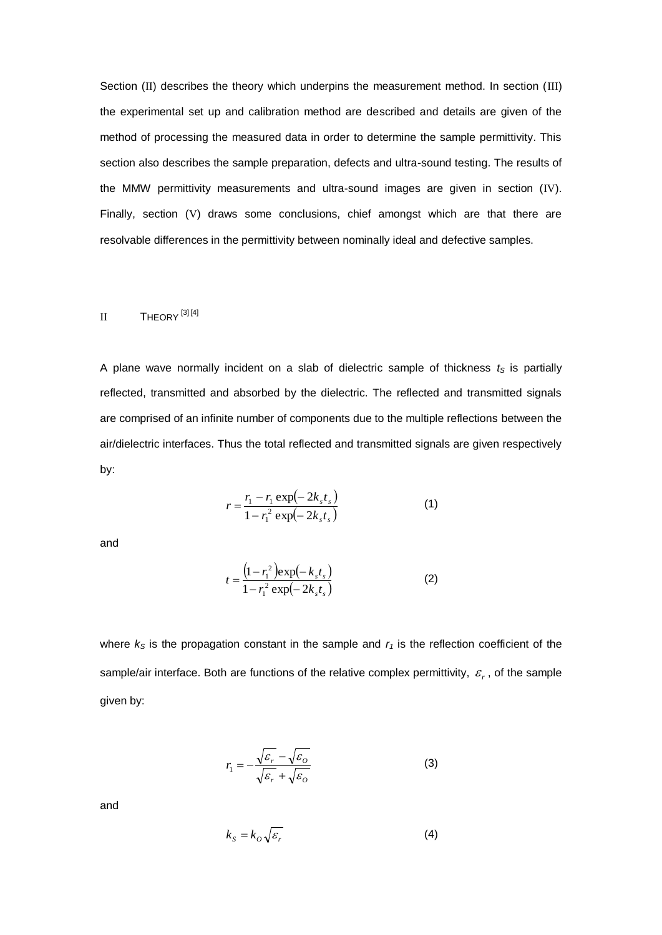Section (II) describes the theory which underpins the measurement method. In section (III) the experimental set up and calibration method are described and details are given of the method of processing the measured data in order to determine the sample permittivity. This section also describes the sample preparation, defects and ultra-sound testing. The results of the MMW permittivity measurements and ultra-sound images are given in section (IV). Finally, section (V) draws some conclusions, chief amongst which are that there are resolvable differences in the permittivity between nominally ideal and defective samples.

# II THEORY<sup>[3][4]</sup>

A plane wave normally incident on a slab of dielectric sample of thickness  $t<sub>S</sub>$  is partially reflected, transmitted and absorbed by the dielectric. The reflected and transmitted signals are comprised of an infinite number of components due to the multiple reflections between the air/dielectric interfaces. Thus the total reflected and transmitted signals are given respectively by:

$$
r = \frac{r_1 - r_1 \exp(-2k_s t_s)}{1 - r_1^2 \exp(-2k_s t_s)}
$$
(1)

and

$$
t = \frac{\left(1 - r_1^2\right) \exp\left(-k_s t_s\right)}{1 - r_1^2 \exp\left(-2k_s t_s\right)}\tag{2}
$$

where  $k<sub>S</sub>$  is the propagation constant in the sample and  $r<sub>1</sub>$  is the reflection coefficient of the sample/air interface. Both are functions of the relative complex permittivity,  $\varepsilon_r$ , of the sample given by:

$$
r_1 = -\frac{\sqrt{\varepsilon_r} - \sqrt{\varepsilon_o}}{\sqrt{\varepsilon_r} + \sqrt{\varepsilon_o}}
$$
 (3)

and

$$
k_{S} = k_{O} \sqrt{\varepsilon_{r}} \tag{4}
$$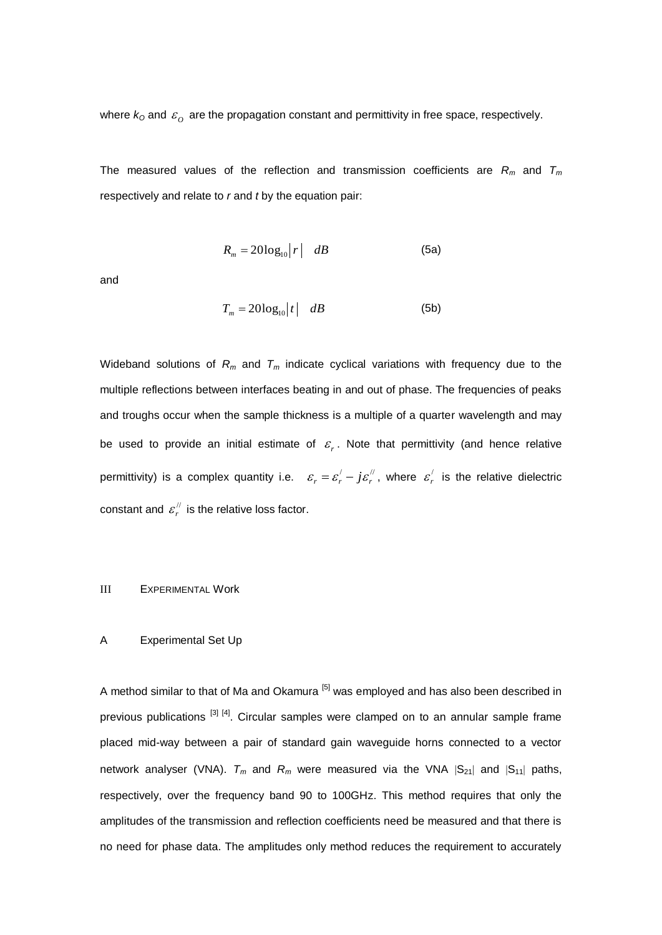where  $k_0$  and  $\varepsilon_o$  are the propagation constant and permittivity in free space, respectively.

The measured values of the reflection and transmission coefficients are *R<sup>m</sup>* and *T<sup>m</sup>* respectively and relate to *r* and *t* by the equation pair:

$$
R_m = 20\log_{10}|r| \quad dB \tag{5a}
$$

and

$$
T_m = 20\log_{10}|t| \quad dB \tag{5b}
$$

Wideband solutions of *R<sup>m</sup>* and *T<sup>m</sup>* indicate cyclical variations with frequency due to the multiple reflections between interfaces beating in and out of phase. The frequencies of peaks and troughs occur when the sample thickness is a multiple of a quarter wavelength and may be used to provide an initial estimate of  $\varepsilon_r$ . Note that permittivity (and hence relative permittivity) is a complex quantity i.e.  $\varepsilon_r = \varepsilon_r' - j\varepsilon_r''$  $\varepsilon_r = \varepsilon_r' - j\varepsilon_r''$ , where  $\varepsilon_r'$  $\varepsilon'_{r}$  is the relative dielectric constant and  $\varepsilon_{r}^{''}$  $\varepsilon_{r}^{''}$  is the relative loss factor.

## III EXPERIMENTAL Work

#### A Experimental Set Up

A method similar to that of Ma and Okamura [5] was employed and has also been described in previous publications <sup>[3] [4]</sup>. Circular samples were clamped on to an annular sample frame placed mid-way between a pair of standard gain waveguide horns connected to a vector network analyser (VNA).  $T_m$  and  $R_m$  were measured via the VNA  $|S_{21}|$  and  $|S_{11}|$  paths, respectively, over the frequency band 90 to 100GHz. This method requires that only the amplitudes of the transmission and reflection coefficients need be measured and that there is no need for phase data. The amplitudes only method reduces the requirement to accurately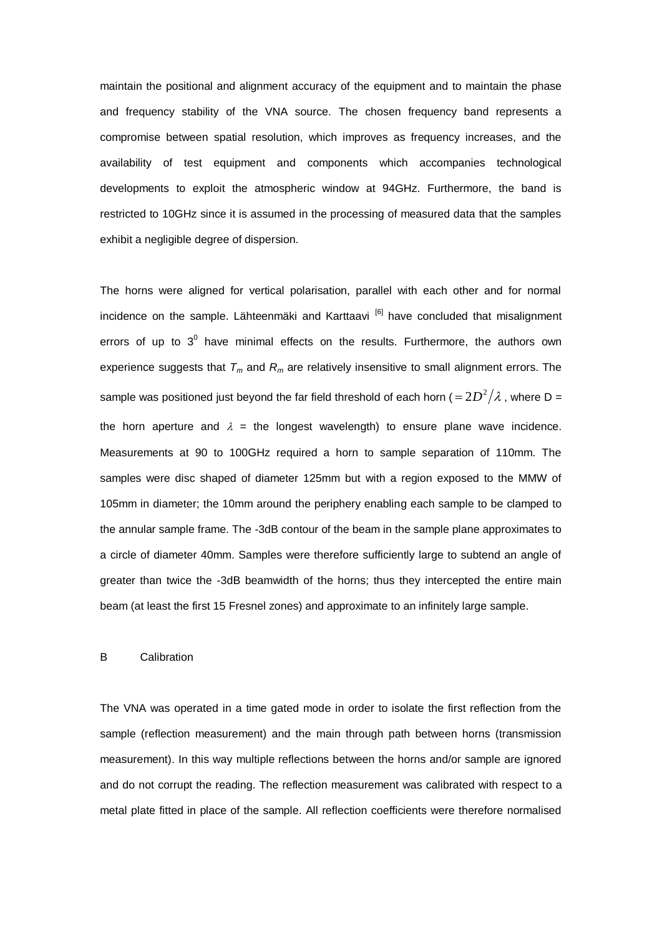maintain the positional and alignment accuracy of the equipment and to maintain the phase and frequency stability of the VNA source. The chosen frequency band represents a compromise between spatial resolution, which improves as frequency increases, and the availability of test equipment and components which accompanies technological developments to exploit the atmospheric window at 94GHz. Furthermore, the band is restricted to 10GHz since it is assumed in the processing of measured data that the samples exhibit a negligible degree of dispersion.

The horns were aligned for vertical polarisation, parallel with each other and for normal incidence on the sample. Lähteenmäki and Karttaavi  $[6]$  have concluded that misalignment errors of up to  $3^0$  have minimal effects on the results. Furthermore, the authors own experience suggests that *T<sup>m</sup>* and *R<sup>m</sup>* are relatively insensitive to small alignment errors. The sample was positioned just beyond the far field threshold of each horn (  $=$   $2D^2/\lambda$  , where D = the horn aperture and  $\lambda$  = the longest wavelength) to ensure plane wave incidence. Measurements at 90 to 100GHz required a horn to sample separation of 110mm. The samples were disc shaped of diameter 125mm but with a region exposed to the MMW of 105mm in diameter; the 10mm around the periphery enabling each sample to be clamped to the annular sample frame. The -3dB contour of the beam in the sample plane approximates to a circle of diameter 40mm. Samples were therefore sufficiently large to subtend an angle of greater than twice the -3dB beamwidth of the horns; thus they intercepted the entire main beam (at least the first 15 Fresnel zones) and approximate to an infinitely large sample.

#### B Calibration

The VNA was operated in a time gated mode in order to isolate the first reflection from the sample (reflection measurement) and the main through path between horns (transmission measurement). In this way multiple reflections between the horns and/or sample are ignored and do not corrupt the reading. The reflection measurement was calibrated with respect to a metal plate fitted in place of the sample. All reflection coefficients were therefore normalised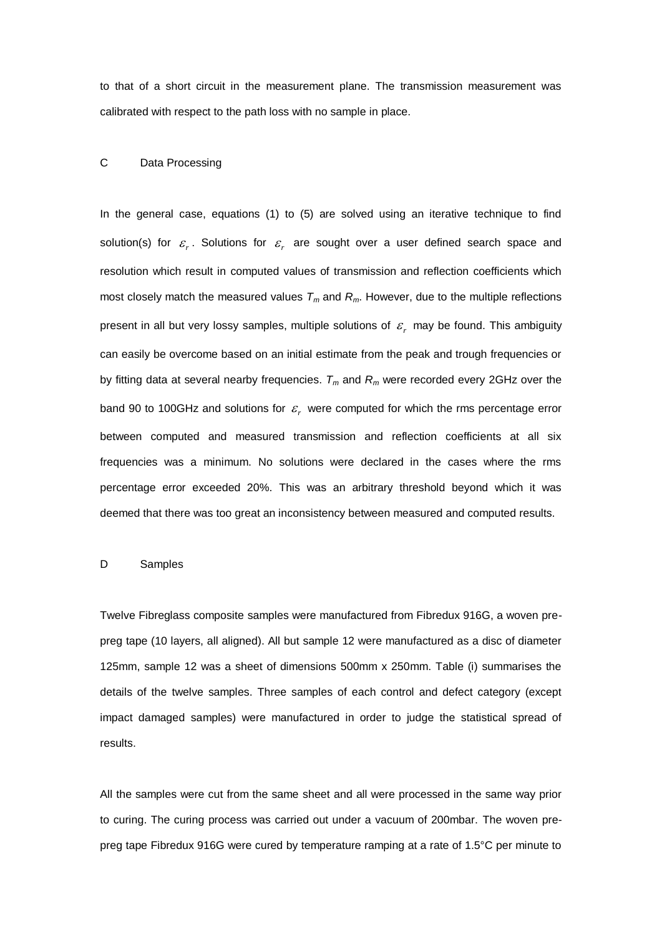to that of a short circuit in the measurement plane. The transmission measurement was calibrated with respect to the path loss with no sample in place.

## C Data Processing

In the general case, equations (1) to (5) are solved using an iterative technique to find solution(s) for  $\varepsilon_r$ . Solutions for  $\varepsilon_r$  are sought over a user defined search space and resolution which result in computed values of transmission and reflection coefficients which most closely match the measured values *T<sup>m</sup>* and *Rm*. However, due to the multiple reflections present in all but very lossy samples, multiple solutions of  $\varepsilon_r$  may be found. This ambiguity can easily be overcome based on an initial estimate from the peak and trough frequencies or by fitting data at several nearby frequencies. *T<sup>m</sup>* and *R<sup>m</sup>* were recorded every 2GHz over the band 90 to 100GHz and solutions for  $\varepsilon_r$  were computed for which the rms percentage error between computed and measured transmission and reflection coefficients at all six frequencies was a minimum. No solutions were declared in the cases where the rms percentage error exceeded 20%. This was an arbitrary threshold beyond which it was deemed that there was too great an inconsistency between measured and computed results.

## D Samples

Twelve Fibreglass composite samples were manufactured from Fibredux 916G, a woven prepreg tape (10 layers, all aligned). All but sample 12 were manufactured as a disc of diameter 125mm, sample 12 was a sheet of dimensions 500mm x 250mm. Table (i) summarises the details of the twelve samples. Three samples of each control and defect category (except impact damaged samples) were manufactured in order to judge the statistical spread of results.

All the samples were cut from the same sheet and all were processed in the same way prior to curing. The curing process was carried out under a vacuum of 200mbar. The woven prepreg tape Fibredux 916G were cured by temperature ramping at a rate of 1.5°C per minute to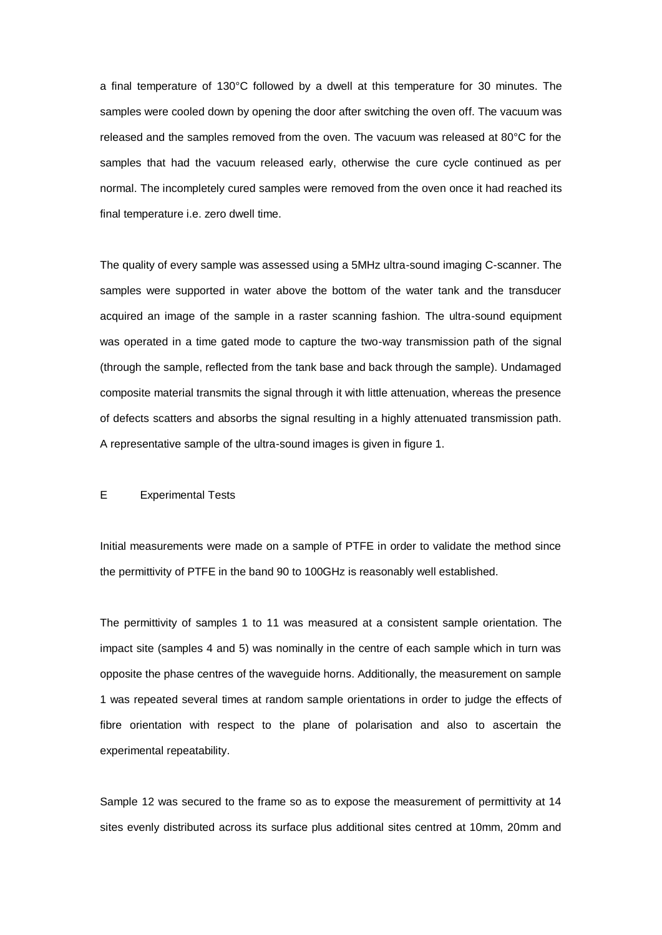a final temperature of 130°C followed by a dwell at this temperature for 30 minutes. The samples were cooled down by opening the door after switching the oven off. The vacuum was released and the samples removed from the oven. The vacuum was released at 80°C for the samples that had the vacuum released early, otherwise the cure cycle continued as per normal. The incompletely cured samples were removed from the oven once it had reached its final temperature i.e. zero dwell time.

The quality of every sample was assessed using a 5MHz ultra-sound imaging C-scanner. The samples were supported in water above the bottom of the water tank and the transducer acquired an image of the sample in a raster scanning fashion. The ultra-sound equipment was operated in a time gated mode to capture the two-way transmission path of the signal (through the sample, reflected from the tank base and back through the sample). Undamaged composite material transmits the signal through it with little attenuation, whereas the presence of defects scatters and absorbs the signal resulting in a highly attenuated transmission path. A representative sample of the ultra-sound images is given in figure 1.

## E Experimental Tests

Initial measurements were made on a sample of PTFE in order to validate the method since the permittivity of PTFE in the band 90 to 100GHz is reasonably well established.

The permittivity of samples 1 to 11 was measured at a consistent sample orientation. The impact site (samples 4 and 5) was nominally in the centre of each sample which in turn was opposite the phase centres of the waveguide horns. Additionally, the measurement on sample 1 was repeated several times at random sample orientations in order to judge the effects of fibre orientation with respect to the plane of polarisation and also to ascertain the experimental repeatability.

Sample 12 was secured to the frame so as to expose the measurement of permittivity at 14 sites evenly distributed across its surface plus additional sites centred at 10mm, 20mm and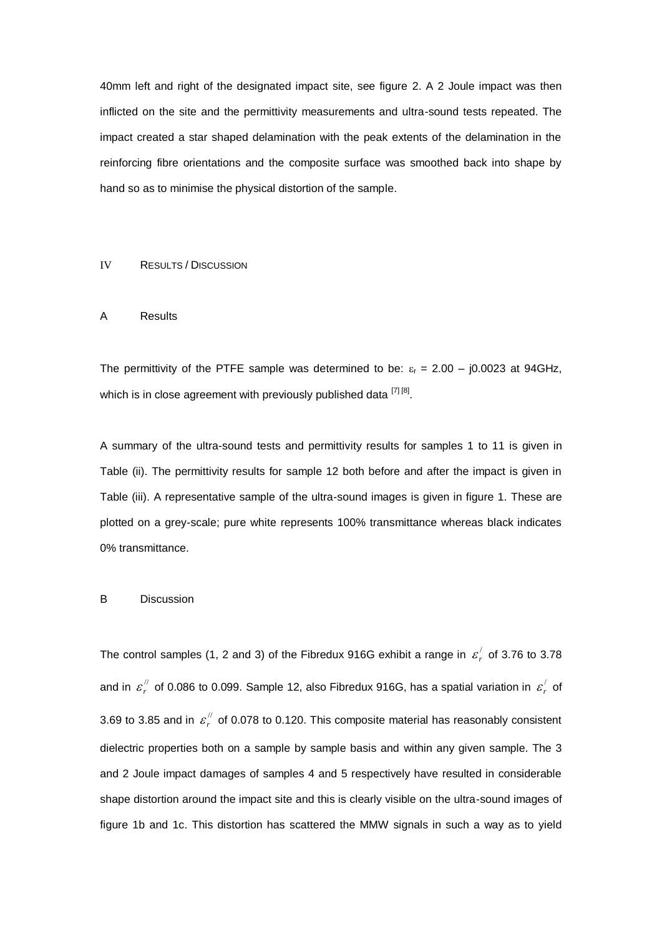40mm left and right of the designated impact site, see figure 2. A 2 Joule impact was then inflicted on the site and the permittivity measurements and ultra-sound tests repeated. The impact created a star shaped delamination with the peak extents of the delamination in the reinforcing fibre orientations and the composite surface was smoothed back into shape by hand so as to minimise the physical distortion of the sample.

#### IV RESULTS / DISCUSSION

#### A Results

The permittivity of the PTFE sample was determined to be:  $\varepsilon_r = 2.00 - j0.0023$  at 94GHz, which is in close agreement with previously published data [7]<sup>[8]</sup>.

A summary of the ultra-sound tests and permittivity results for samples 1 to 11 is given in Table (ii). The permittivity results for sample 12 both before and after the impact is given in Table (iii). A representative sample of the ultra-sound images is given in figure 1. These are plotted on a grey-scale; pure white represents 100% transmittance whereas black indicates 0% transmittance.

#### B Discussion

The control samples (1, 2 and 3) of the Fibredux 916G exhibit a range in  $\varepsilon'$ ,  $\varepsilon_r'$  of 3.76 to 3.78 and in  $\varepsilon_{r}^{''}$  $\varepsilon_{r}^{/\!/}$  of 0.086 to 0.099. Sample 12, also Fibredux 916G, has a spatial variation in  $\varepsilon_{r}^{/}$  $\varepsilon_{r}^{'}$  of 3.69 to 3.85 and in  $\varepsilon_{r}^{/l}$  $\varepsilon_r^{\prime\prime}$  of 0.078 to 0.120. This composite material has reasonably consistent dielectric properties both on a sample by sample basis and within any given sample. The 3 and 2 Joule impact damages of samples 4 and 5 respectively have resulted in considerable shape distortion around the impact site and this is clearly visible on the ultra-sound images of figure 1b and 1c. This distortion has scattered the MMW signals in such a way as to yield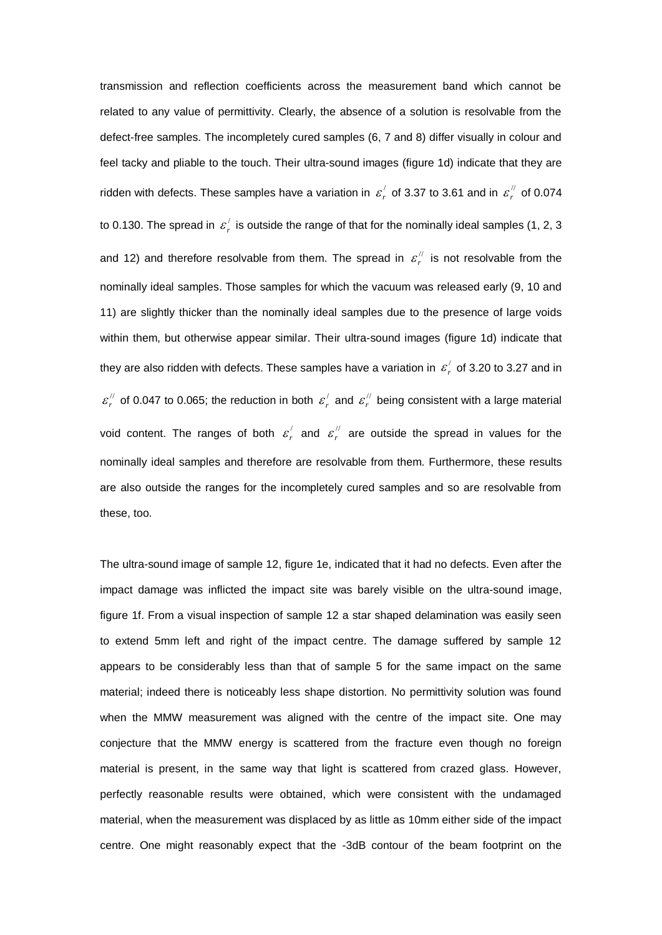transmission and reflection coefficients across the measurement band which cannot be related to any value of permittivity. Clearly, the absence of a solution is resolvable from the defect-free samples. The incompletely cured samples (6, 7 and 8) differ visually in colour and feel tacky and pliable to the touch. Their ultra-sound images (figure 1d) indicate that they are ridden with defects. These samples have a variation in  $\mathcal{E}_r^{\prime}$  $\varepsilon_{r}^{/}$  of 3.37 to 3.61 and in  $\varepsilon_{r}^{//}$  $\varepsilon_r^{\prime\prime}$  of 0.074 to 0.130. The spread in  $\vert \mathcal{E} \rangle$  $\varepsilon'_{r}$  is outside the range of that for the nominally ideal samples (1, 2, 3 and 12) and therefore resolvable from them. The spread in  $\varepsilon_{r}^{''}$  $\varepsilon_{r}^{''}$  is not resolvable from the nominally ideal samples. Those samples for which the vacuum was released early (9, 10 and 11) are slightly thicker than the nominally ideal samples due to the presence of large voids within them, but otherwise appear similar. Their ultra-sound images (figure 1d) indicate that they are also ridden with defects. These samples have a variation in  $\, \varepsilon_{r}^{'} \,$  $\varepsilon_r'$  of 3.20 to 3.27 and in //  $\varepsilon_{r}^{/\!\!/}$  of 0.047 to 0.065; the reduction in both  $\varepsilon_{r}^{/\!\!/}$  $\varepsilon_{r}^{/}$  and  $\varepsilon_{r}^{//}$  $\varepsilon_{r}^{\prime\prime}$  being consistent with a large material void content. The ranges of both  $\varepsilon'$  $\varepsilon_r^{/}$  and  $\varepsilon_r^{//}$  $\varepsilon_{r}^{\prime\prime}$  are outside the spread in values for the nominally ideal samples and therefore are resolvable from them. Furthermore, these results are also outside the ranges for the incompletely cured samples and so are resolvable from these, too.

The ultra-sound image of sample 12, figure 1e, indicated that it had no defects. Even after the impact damage was inflicted the impact site was barely visible on the ultra-sound image, figure 1f. From a visual inspection of sample 12 a star shaped delamination was easily seen to extend 5mm left and right of the impact centre. The damage suffered by sample 12 appears to be considerably less than that of sample 5 for the same impact on the same material; indeed there is noticeably less shape distortion. No permittivity solution was found when the MMW measurement was aligned with the centre of the impact site. One may conjecture that the MMW energy is scattered from the fracture even though no foreign material is present, in the same way that light is scattered from crazed glass. However, perfectly reasonable results were obtained, which were consistent with the undamaged material, when the measurement was displaced by as little as 10mm either side of the impact centre. One might reasonably expect that the -3dB contour of the beam footprint on the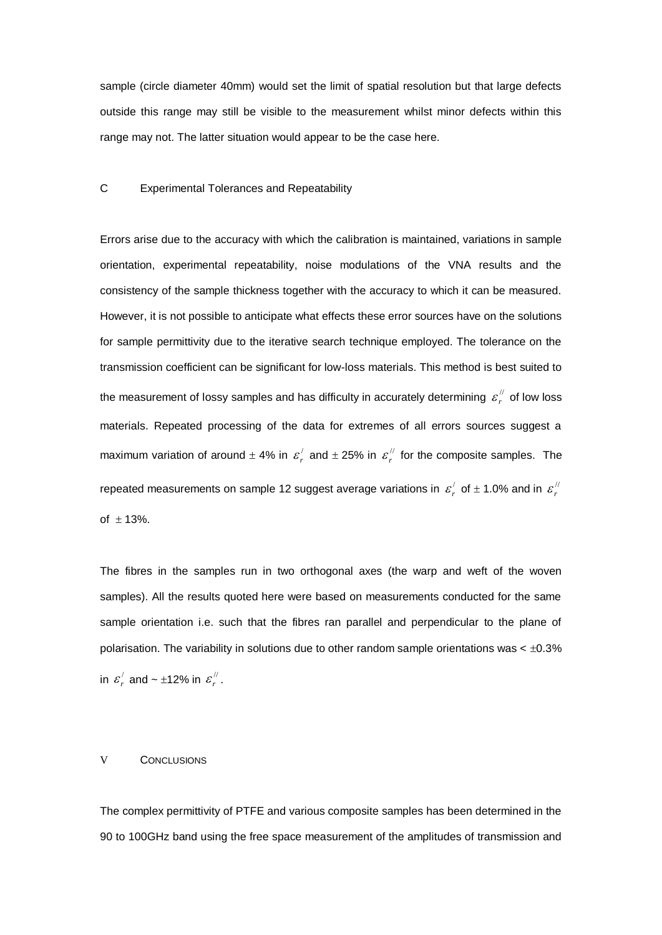sample (circle diameter 40mm) would set the limit of spatial resolution but that large defects outside this range may still be visible to the measurement whilst minor defects within this range may not. The latter situation would appear to be the case here.

## C Experimental Tolerances and Repeatability

Errors arise due to the accuracy with which the calibration is maintained, variations in sample orientation, experimental repeatability, noise modulations of the VNA results and the consistency of the sample thickness together with the accuracy to which it can be measured. However, it is not possible to anticipate what effects these error sources have on the solutions for sample permittivity due to the iterative search technique employed. The tolerance on the transmission coefficient can be significant for low-loss materials. This method is best suited to the measurement of lossy samples and has difficulty in accurately determining  $\varepsilon_{r}^{''}$  $\varepsilon_r^{\prime\prime}$  of low loss materials. Repeated processing of the data for extremes of all errors sources suggest a maximum variation of around  $\pm$  4% in  $\varepsilon'$  $\varepsilon_{r}^{/}$  and  $\pm$  25% in  $\varepsilon_{r}^{//}$  $\varepsilon_{r}^{\prime\prime}$  for the composite samples. The repeated measurements on sample 12 suggest average variations in  $\varepsilon_r^2$  $\varepsilon_r^{/}$  of  $\pm$  1.0% and in  $\varepsilon_r^{//}$  $\varepsilon_{\scriptscriptstyle\prime}$ of  $\pm$  13%.

The fibres in the samples run in two orthogonal axes (the warp and weft of the woven samples). All the results quoted here were based on measurements conducted for the same sample orientation i.e. such that the fibres ran parallel and perpendicular to the plane of polarisation. The variability in solutions due to other random sample orientations was  $<$   $\pm$ 0.3% in  $\varepsilon_{r}^{/}$  $\varepsilon_{r}^{/}$  and ~ ±12% in  $\varepsilon_{r}^{//}$  $\varepsilon_{r}^{''}$  .

#### V CONCLUSIONS

The complex permittivity of PTFE and various composite samples has been determined in the 90 to 100GHz band using the free space measurement of the amplitudes of transmission and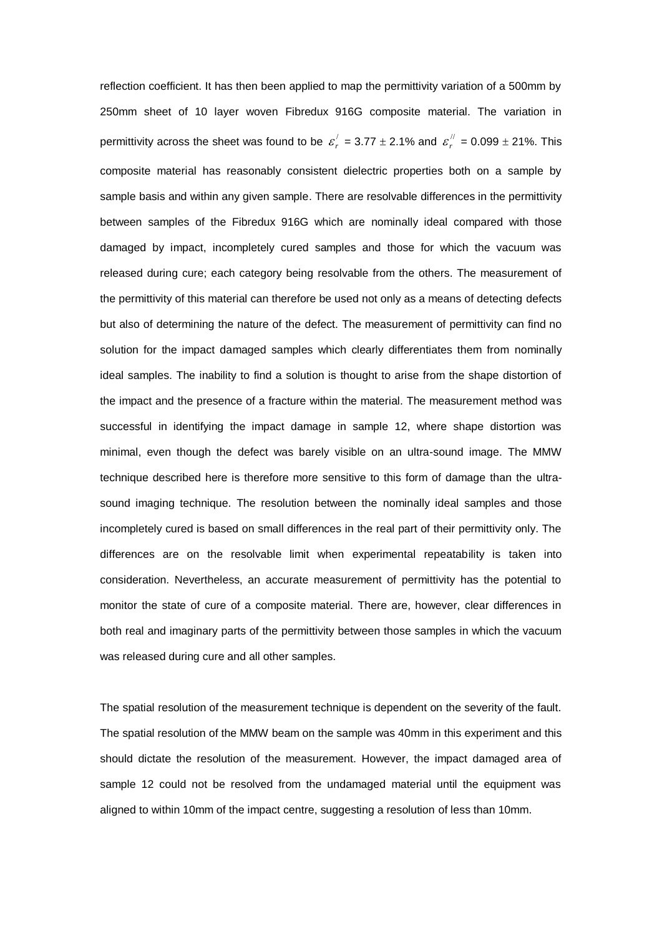reflection coefficient. It has then been applied to map the permittivity variation of a 500mm by 250mm sheet of 10 layer woven Fibredux 916G composite material. The variation in permittivity across the sheet was found to be  $\boldsymbol{\varepsilon}_r^{'}$  $\varepsilon_r' = 3.77 \pm 2.1\%$  and  $\varepsilon_r''$  $\varepsilon_{r}^{''} = 0.099 \pm 21\%$ . This composite material has reasonably consistent dielectric properties both on a sample by sample basis and within any given sample. There are resolvable differences in the permittivity between samples of the Fibredux 916G which are nominally ideal compared with those damaged by impact, incompletely cured samples and those for which the vacuum was released during cure; each category being resolvable from the others. The measurement of the permittivity of this material can therefore be used not only as a means of detecting defects but also of determining the nature of the defect. The measurement of permittivity can find no solution for the impact damaged samples which clearly differentiates them from nominally ideal samples. The inability to find a solution is thought to arise from the shape distortion of the impact and the presence of a fracture within the material. The measurement method was successful in identifying the impact damage in sample 12, where shape distortion was minimal, even though the defect was barely visible on an ultra-sound image. The MMW technique described here is therefore more sensitive to this form of damage than the ultrasound imaging technique. The resolution between the nominally ideal samples and those incompletely cured is based on small differences in the real part of their permittivity only. The differences are on the resolvable limit when experimental repeatability is taken into consideration. Nevertheless, an accurate measurement of permittivity has the potential to monitor the state of cure of a composite material. There are, however, clear differences in both real and imaginary parts of the permittivity between those samples in which the vacuum was released during cure and all other samples.

The spatial resolution of the measurement technique is dependent on the severity of the fault. The spatial resolution of the MMW beam on the sample was 40mm in this experiment and this should dictate the resolution of the measurement. However, the impact damaged area of sample 12 could not be resolved from the undamaged material until the equipment was aligned to within 10mm of the impact centre, suggesting a resolution of less than 10mm.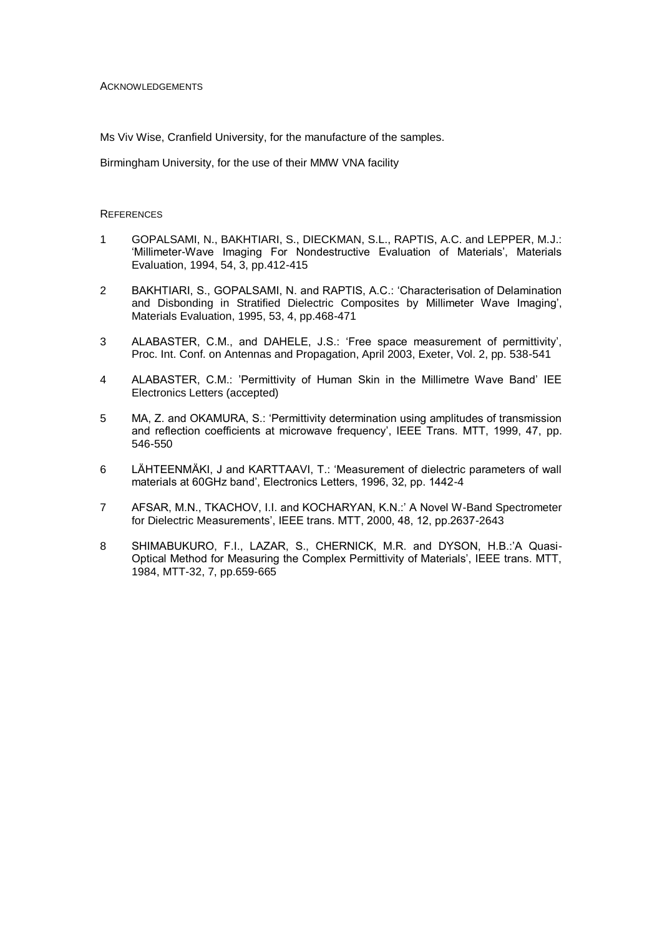**ACKNOWLEDGEMENTS** 

Ms Viv Wise, Cranfield University, for the manufacture of the samples.

Birmingham University, for the use of their MMW VNA facility

## **REFERENCES**

- 1 GOPALSAMI, N., BAKHTIARI, S., DIECKMAN, S.L., RAPTIS, A.C. and LEPPER, M.J.: 'Millimeter-Wave Imaging For Nondestructive Evaluation of Materials', Materials Evaluation, 1994, 54, 3, pp.412-415
- 2 BAKHTIARI, S., GOPALSAMI, N. and RAPTIS, A.C.: 'Characterisation of Delamination and Disbonding in Stratified Dielectric Composites by Millimeter Wave Imaging', Materials Evaluation, 1995, 53, 4, pp.468-471
- 3 ALABASTER, C.M., and DAHELE, J.S.: 'Free space measurement of permittivity', Proc. Int. Conf. on Antennas and Propagation, April 2003, Exeter, Vol. 2, pp. 538-541
- 4 ALABASTER, C.M.: 'Permittivity of Human Skin in the Millimetre Wave Band' IEE Electronics Letters (accepted)
- 5 MA, Z. and OKAMURA, S.: 'Permittivity determination using amplitudes of transmission and reflection coefficients at microwave frequency', IEEE Trans. MTT, 1999, 47, pp. 546-550
- 6 LÄHTEENMÄKI, J and KARTTAAVI, T.: 'Measurement of dielectric parameters of wall materials at 60GHz band', Electronics Letters, 1996, 32, pp. 1442-4
- 7 AFSAR, M.N., TKACHOV, I.I. and KOCHARYAN, K.N.:' A Novel W-Band Spectrometer for Dielectric Measurements', IEEE trans. MTT, 2000, 48, 12, pp.2637-2643
- 8 SHIMABUKURO, F.I., LAZAR, S., CHERNICK, M.R. and DYSON, H.B.:'A Quasi-Optical Method for Measuring the Complex Permittivity of Materials', IEEE trans. MTT, 1984, MTT-32, 7, pp.659-665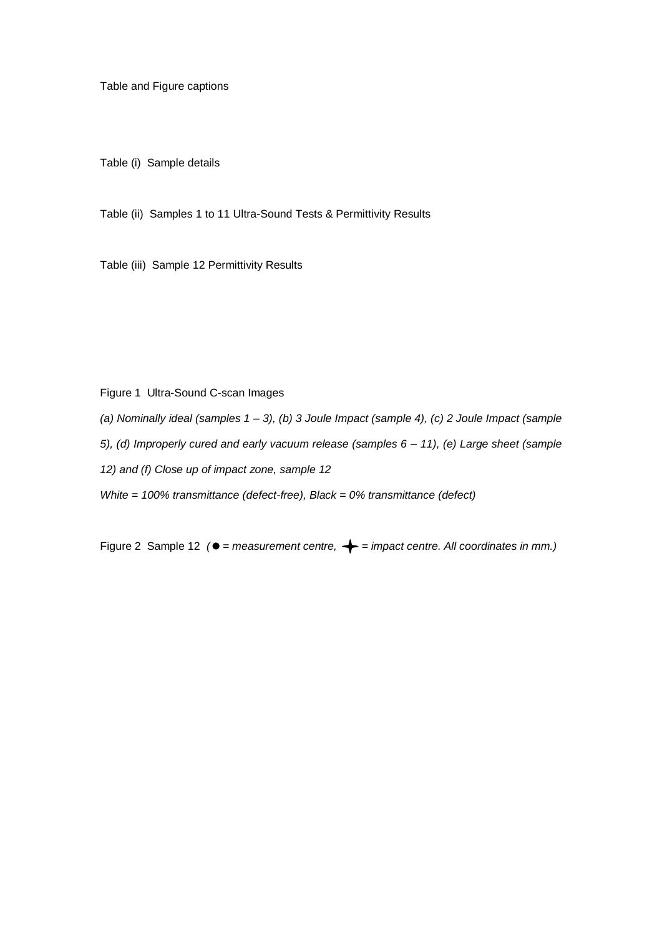Table and Figure captions

Table (i) Sample details

Table (ii) Samples 1 to 11 Ultra-Sound Tests & Permittivity Results

Table (iii) Sample 12 Permittivity Results

Figure 1 Ultra-Sound C-scan Images

*(a) Nominally ideal (samples 1 – 3), (b) 3 Joule Impact (sample 4), (c) 2 Joule Impact (sample* 

*5), (d) Improperly cured and early vacuum release (samples 6 – 11), (e) Large sheet (sample* 

*12) and (f) Close up of impact zone, sample 12*

*White = 100% transmittance (defect-free), Black = 0% transmittance (defect)*

Figure 2 Sample 12 ( $\bullet$  = measurement centre,  $\leftarrow$  = impact centre. All coordinates in mm.)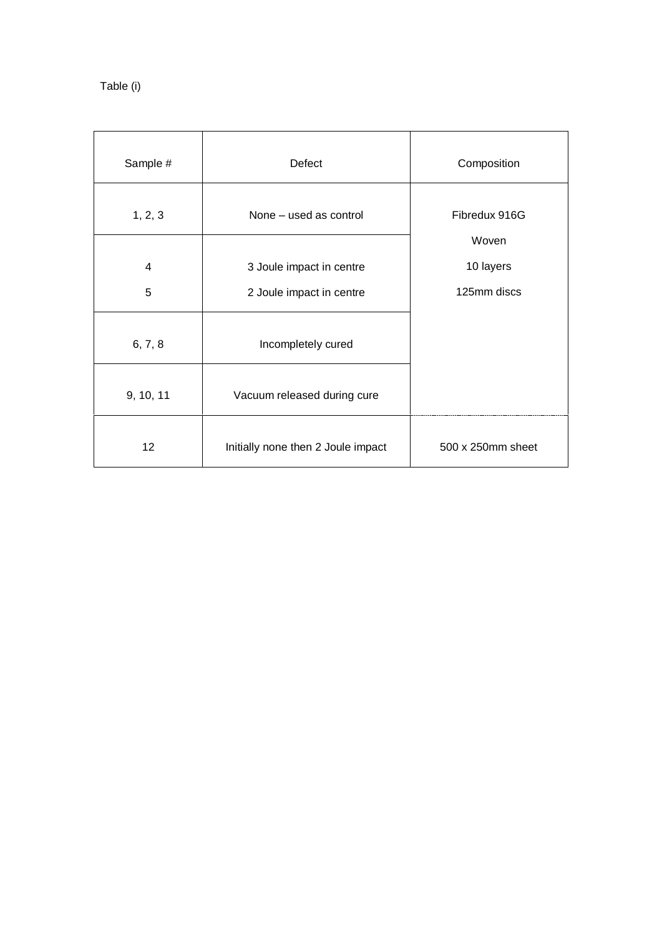| Table (i) |  |
|-----------|--|
|           |  |

| Sample #  | Defect                                               | Composition              |
|-----------|------------------------------------------------------|--------------------------|
| 1, 2, 3   | None - used as control                               | Fibredux 916G<br>Woven   |
| 4<br>5    | 3 Joule impact in centre<br>2 Joule impact in centre | 10 layers<br>125mm discs |
| 6, 7, 8   | Incompletely cured                                   |                          |
| 9, 10, 11 | Vacuum released during cure                          |                          |
| 12        | Initially none then 2 Joule impact                   | 500 x 250mm sheet        |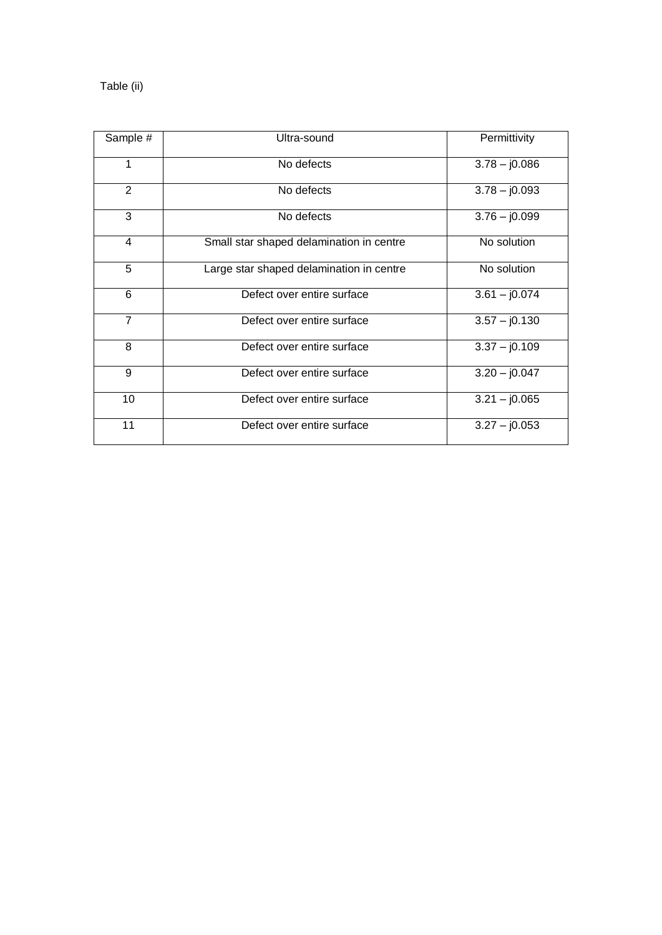# Table (ii)

| Sample #        | Ultra-sound                              | Permittivity    |
|-----------------|------------------------------------------|-----------------|
| 1               | No defects                               | $3.78 - j0.086$ |
| 2               | No defects                               | $3.78 - j0.093$ |
| 3               | No defects                               | $3.76 - j0.099$ |
| $\overline{4}$  | Small star shaped delamination in centre | No solution     |
| 5               | Large star shaped delamination in centre | No solution     |
| 6               | Defect over entire surface               | $3.61 - j0.074$ |
| $\overline{7}$  | Defect over entire surface               | $3.57 - j0.130$ |
| 8               | Defect over entire surface               | $3.37 - j0.109$ |
| 9               | Defect over entire surface               | $3.20 - j0.047$ |
| 10              | Defect over entire surface               | $3.21 - j0.065$ |
| $\overline{11}$ | Defect over entire surface               | $3.27 - j0.053$ |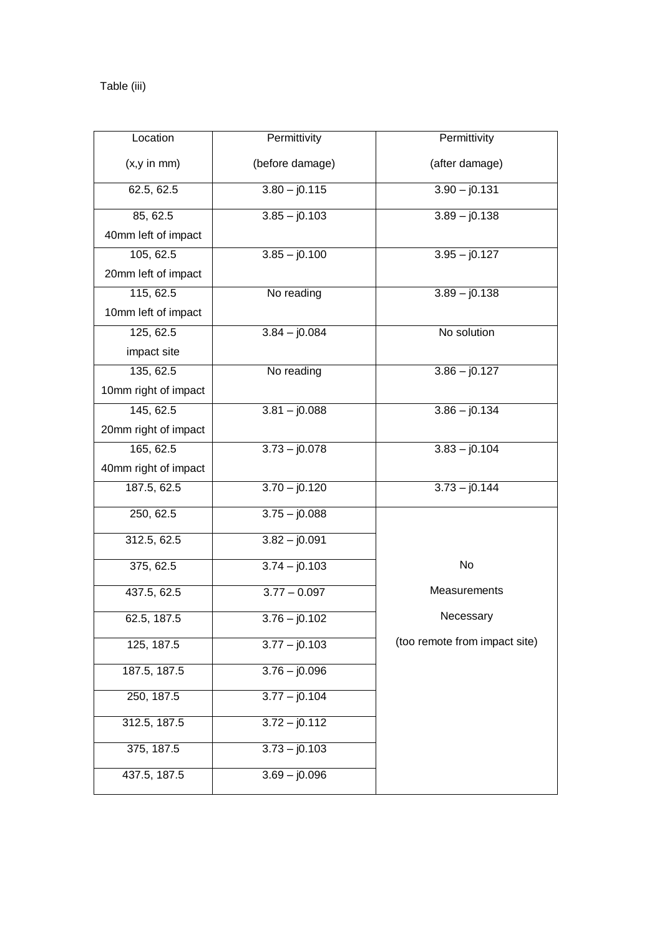# Table (iii)

| Location             | Permittivity    | Permittivity                  |
|----------------------|-----------------|-------------------------------|
| (x, y in mm)         | (before damage) | (after damage)                |
| 62.5, 62.5           | $3.80 - j0.115$ | $3.90 - j0.131$               |
| 85, 62.5             | $3.85 - j0.103$ | $3.89 - j0.138$               |
| 40mm left of impact  |                 |                               |
| 105, 62.5            | $3.85 - j0.100$ | $3.95 - j0.127$               |
| 20mm left of impact  |                 |                               |
| 115, 62.5            | No reading      | $3.\overline{89} - j0.138$    |
| 10mm left of impact  |                 |                               |
| 125, 62.5            | $3.84 - j0.084$ | No solution                   |
| impact site          |                 |                               |
| 135, 62.5            | No reading      | $3.86 - j0.127$               |
| 10mm right of impact |                 |                               |
| 145, 62.5            | $3.81 - j0.088$ | $3.86 - j0.134$               |
| 20mm right of impact |                 |                               |
| 165, 62.5            | $3.73 - j0.078$ | $3.83 - j0.104$               |
| 40mm right of impact |                 |                               |
| 187.5, 62.5          | $3.70 - j0.120$ | $3.73 - j0.144$               |
| 250, 62.5            | $3.75 - j0.088$ |                               |
| 312.5, 62.5          | $3.82 - j0.091$ |                               |
| 375, 62.5            | $3.74 - j0.103$ | No                            |
| 437.5, 62.5          | $3.77 - 0.097$  | Measurements                  |
| 62.5, 187.5          | $3.76 - j0.102$ | Necessary                     |
| 125, 187.5           | $3.77 - j0.103$ | (too remote from impact site) |
| 187.5, 187.5         | $3.76 - j0.096$ |                               |
| 250, 187.5           | $3.77 - j0.104$ |                               |
| 312.5, 187.5         | $3.72 - j0.112$ |                               |
| 375, 187.5           | $3.73 - j0.103$ |                               |
| 437.5, 187.5         | $3.69 - j0.096$ |                               |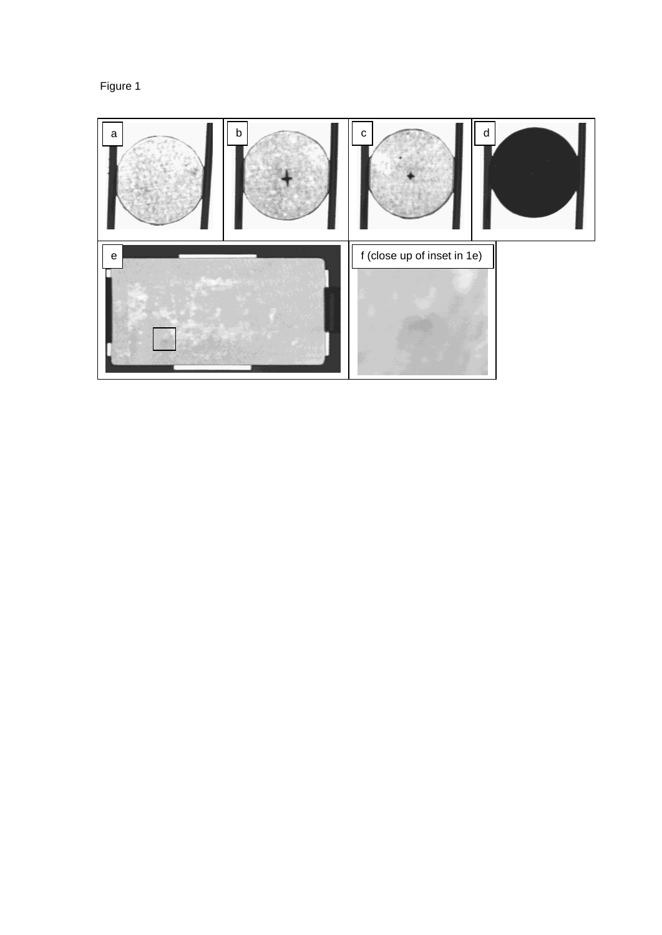